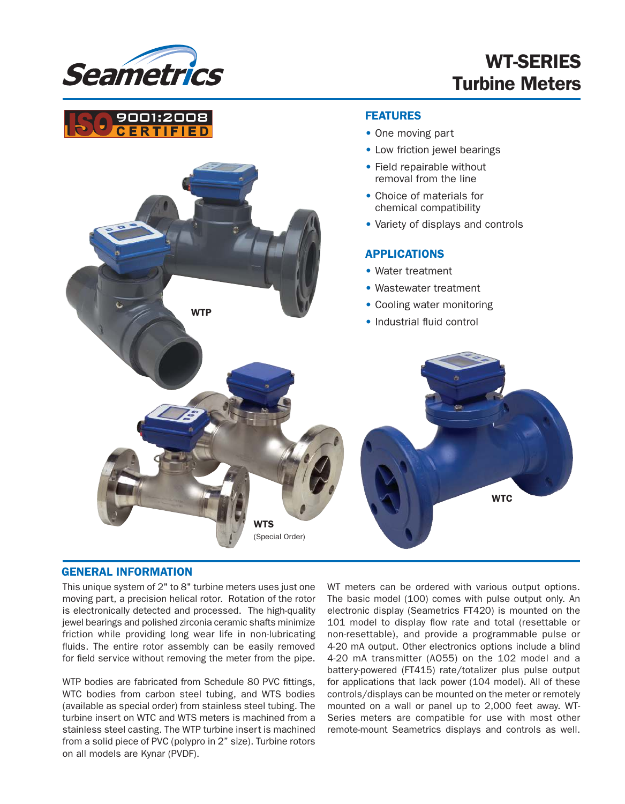

## WT-SERIES Turbine Meters



#### GENERAL INFORMATION

This unique system of 2" to 8" turbine meters uses just one moving part, a precision helical rotor. Rotation of the rotor is electronically detected and processed. The high-quality jewel bearings and polished zirconia ceramic shafts minimize friction while providing long wear life in non-lubricating fluids. The entire rotor assembly can be easily removed for field service without removing the meter from the pipe.

WTP bodies are fabricated from Schedule 80 PVC fittings, WTC bodies from carbon steel tubing, and WTS bodies (available as special order) from stainless steel tubing. The turbine insert on WTC and WTS meters is machined from a stainless steel casting. The WTP turbine insert is machined from a solid piece of PVC (polypro in 2" size). Turbine rotors on all models are Kynar (PVDF).

WT meters can be ordered with various output options. The basic model (100) comes with pulse output only. An electronic display (Seametrics FT420) is mounted on the 101 model to display flow rate and total (resettable or non-resettable), and provide a programmable pulse or 4-20 mA output. Other electronics options include a blind 4-20 mA transmitter (AO55) on the 102 model and a battery-powered (FT415) rate/totalizer plus pulse output for applications that lack power (104 model). All of these controls/displays can be mounted on the meter or remotely mounted on a wall or panel up to 2,000 feet away. WT-Series meters are compatible for use with most other remote-mount Seametrics displays and controls as well.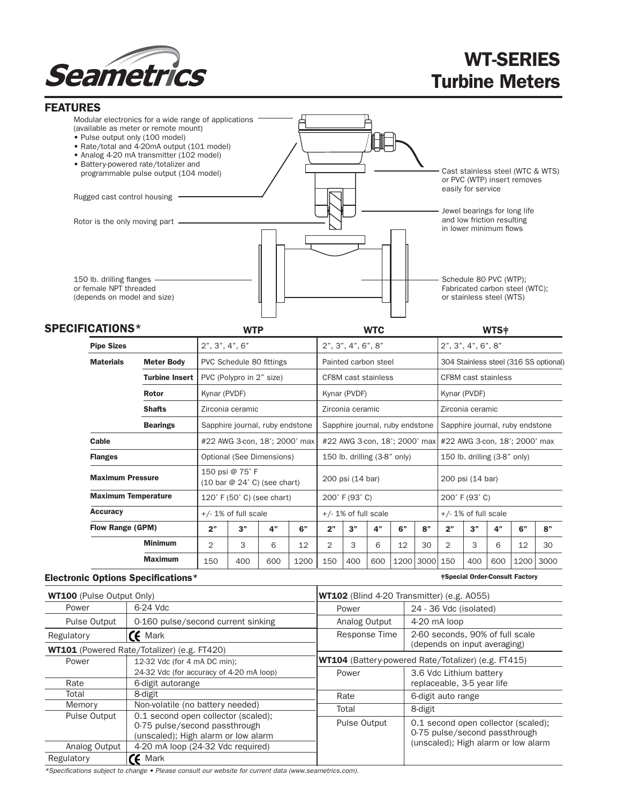

# WT-SERIES Turbine Meters

| <b>FEATURES</b>                                                                     |                                                                                                                                                                                                                                                                                                            |                                                                                                             |                                                       |                                                |                                 |      |                                                     |                                                     |     |                                                                                      |                                                                      |                                                                                       |                                                                                      |                                       |      |      |  |
|-------------------------------------------------------------------------------------|------------------------------------------------------------------------------------------------------------------------------------------------------------------------------------------------------------------------------------------------------------------------------------------------------------|-------------------------------------------------------------------------------------------------------------|-------------------------------------------------------|------------------------------------------------|---------------------------------|------|-----------------------------------------------------|-----------------------------------------------------|-----|--------------------------------------------------------------------------------------|----------------------------------------------------------------------|---------------------------------------------------------------------------------------|--------------------------------------------------------------------------------------|---------------------------------------|------|------|--|
|                                                                                     | Modular electronics for a wide range of applications<br>(available as meter or remote mount)<br>• Pulse output only (100 model)<br>• Rate/total and 4-20mA output (101 model)<br>• Analog 4-20 mA transmitter (102 model)<br>• Battery-powered rate/totalizer and<br>programmable pulse output (104 model) |                                                                                                             |                                                       |                                                |                                 |      |                                                     |                                                     |     |                                                                                      |                                                                      | Cast stainless steel (WTC & WTS)<br>or PVC (WTP) insert removes<br>easily for service |                                                                                      |                                       |      |      |  |
| Rugged cast control housing                                                         |                                                                                                                                                                                                                                                                                                            |                                                                                                             |                                                       |                                                |                                 |      |                                                     |                                                     |     |                                                                                      |                                                                      |                                                                                       |                                                                                      |                                       |      |      |  |
| Rotor is the only moving part -                                                     |                                                                                                                                                                                                                                                                                                            |                                                                                                             |                                                       |                                                |                                 |      |                                                     |                                                     |     |                                                                                      |                                                                      |                                                                                       | Jewel bearings for long life<br>and low friction resulting<br>in lower minimum flows |                                       |      |      |  |
| 150 lb. drilling flanges -<br>or female NPT threaded<br>(depends on model and size) |                                                                                                                                                                                                                                                                                                            |                                                                                                             |                                                       |                                                |                                 |      |                                                     |                                                     |     | Schedule 80 PVC (WTP);<br>Fabricated carbon steel (WTC);<br>or stainless steel (WTS) |                                                                      |                                                                                       |                                                                                      |                                       |      |      |  |
| <b>SPECIFICATIONS*</b>                                                              |                                                                                                                                                                                                                                                                                                            |                                                                                                             | <b>WTP</b>                                            |                                                |                                 |      | <b>WTC</b>                                          |                                                     |     |                                                                                      |                                                                      | WTS <sup>#</sup>                                                                      |                                                                                      |                                       |      |      |  |
|                                                                                     | <b>Pipe Sizes</b>                                                                                                                                                                                                                                                                                          |                                                                                                             | 2", 3", 4", 6"                                        |                                                |                                 |      |                                                     | 2", 3", 4", 6", 8"                                  |     |                                                                                      |                                                                      |                                                                                       | 2", 3", 4", 6", 8"                                                                   |                                       |      |      |  |
|                                                                                     | <b>Materials</b><br><b>Meter Body</b>                                                                                                                                                                                                                                                                      |                                                                                                             | PVC Schedule 80 fittings                              |                                                |                                 |      | Painted carbon steel                                |                                                     |     |                                                                                      | 304 Stainless steel (316 SS optional)                                |                                                                                       |                                                                                      |                                       |      |      |  |
|                                                                                     |                                                                                                                                                                                                                                                                                                            | <b>Turbine Insert</b>                                                                                       | PVC (Polypro in 2" size)                              |                                                |                                 |      | <b>CF8M cast stainless</b>                          |                                                     |     |                                                                                      |                                                                      | CF8M cast stainless                                                                   |                                                                                      |                                       |      |      |  |
|                                                                                     |                                                                                                                                                                                                                                                                                                            | <b>Rotor</b>                                                                                                | Kynar (PVDF)                                          |                                                |                                 |      | Kynar (PVDF)                                        |                                                     |     |                                                                                      | Kynar (PVDF)                                                         |                                                                                       |                                                                                      |                                       |      |      |  |
|                                                                                     |                                                                                                                                                                                                                                                                                                            | <b>Shafts</b>                                                                                               | Zirconia ceramic                                      |                                                |                                 |      | Zirconia ceramic                                    |                                                     |     |                                                                                      | Zirconia ceramic                                                     |                                                                                       |                                                                                      |                                       |      |      |  |
|                                                                                     |                                                                                                                                                                                                                                                                                                            | <b>Bearings</b>                                                                                             |                                                       |                                                | Sapphire journal, ruby endstone |      |                                                     | Sapphire journal, ruby endstone                     |     |                                                                                      |                                                                      |                                                                                       |                                                                                      | Sapphire journal, ruby endstone       |      |      |  |
|                                                                                     | Cable                                                                                                                                                                                                                                                                                                      |                                                                                                             |                                                       | #22 AWG 3-con, 18'; 2000' max                  |                                 |      |                                                     | #22 AWG 3-con, 18'; 2000' max                       |     |                                                                                      |                                                                      | #22 AWG 3-con, 18'; 2000' max                                                         |                                                                                      |                                       |      |      |  |
|                                                                                     | <b>Flanges</b>                                                                                                                                                                                                                                                                                             |                                                                                                             |                                                       | Optional (See Dimensions)                      |                                 |      |                                                     | 150 lb. drilling (3-8" only)                        |     |                                                                                      |                                                                      | 150 lb. drilling (3-8" only)                                                          |                                                                                      |                                       |      |      |  |
|                                                                                     | <b>Maximum Pressure</b>                                                                                                                                                                                                                                                                                    |                                                                                                             |                                                       | 150 psi @ 75°F<br>(10 bar @ 24° C) (see chart) |                                 |      |                                                     | 200 psi (14 bar)                                    |     |                                                                                      |                                                                      |                                                                                       | 200 psi (14 bar)                                                                     |                                       |      |      |  |
| <b>Maximum Temperature</b><br><b>Accuracy</b>                                       |                                                                                                                                                                                                                                                                                                            |                                                                                                             | 120° F (50° C) (see chart)<br>$+/- 1\%$ of full scale |                                                |                                 |      | 200° F (93° C)<br>$+/- 1\%$ of full scale           |                                                     |     |                                                                                      |                                                                      | 200° F (93° C)<br>$+/- 1\%$ of full scale                                             |                                                                                      |                                       |      |      |  |
|                                                                                     |                                                                                                                                                                                                                                                                                                            |                                                                                                             |                                                       |                                                |                                 |      |                                                     |                                                     |     |                                                                                      |                                                                      |                                                                                       |                                                                                      |                                       |      |      |  |
|                                                                                     |                                                                                                                                                                                                                                                                                                            | <b>Minimum</b>                                                                                              | $\overline{c}$                                        | 3                                              | 6                               | 12   | 2                                                   | 3                                                   | 6   | 12                                                                                   | 30                                                                   | 2                                                                                     | 3                                                                                    | 6                                     | 12   | 30   |  |
|                                                                                     |                                                                                                                                                                                                                                                                                                            | <b>Maximum</b>                                                                                              | 150                                                   | 400                                            | 600                             | 1200 | 150                                                 | 400                                                 | 600 |                                                                                      | 1200 3000 150                                                        |                                                                                       | 400                                                                                  | 600                                   | 1200 | 3000 |  |
|                                                                                     |                                                                                                                                                                                                                                                                                                            | <b>Electronic Options Specifications*</b>                                                                   |                                                       |                                                |                                 |      |                                                     |                                                     |     |                                                                                      |                                                                      |                                                                                       |                                                                                      | <b>#Special Order-Consult Factory</b> |      |      |  |
|                                                                                     |                                                                                                                                                                                                                                                                                                            |                                                                                                             |                                                       |                                                |                                 |      |                                                     |                                                     |     |                                                                                      |                                                                      |                                                                                       |                                                                                      |                                       |      |      |  |
| <b>WT100</b> (Pulse Output Only)<br>6-24 Vdc<br>Power                               |                                                                                                                                                                                                                                                                                                            |                                                                                                             |                                                       |                                                |                                 |      | WT102 (Blind 4-20 Transmitter) (e.g. A055)<br>Power |                                                     |     |                                                                                      | 24 - 36 Vdc (isolated)                                               |                                                                                       |                                                                                      |                                       |      |      |  |
| <b>Pulse Output</b>                                                                 |                                                                                                                                                                                                                                                                                                            |                                                                                                             | 0-160 pulse/second current sinking                    |                                                |                                 |      | Analog Output                                       |                                                     |     |                                                                                      | 4-20 mA loop                                                         |                                                                                       |                                                                                      |                                       |      |      |  |
| $\epsilon$ Mark<br>Regulatory                                                       |                                                                                                                                                                                                                                                                                                            |                                                                                                             |                                                       |                                                |                                 |      | Response Time                                       |                                                     |     |                                                                                      | 2-60 seconds, 90% of full scale                                      |                                                                                       |                                                                                      |                                       |      |      |  |
| WT101 (Powered Rate/Totalizer) (e.g. FT420)                                         |                                                                                                                                                                                                                                                                                                            |                                                                                                             |                                                       |                                                |                                 |      |                                                     |                                                     |     | (depends on input averaging)                                                         |                                                                      |                                                                                       |                                                                                      |                                       |      |      |  |
| Power                                                                               |                                                                                                                                                                                                                                                                                                            | 12-32 Vdc (for 4 mA DC min);                                                                                |                                                       |                                                |                                 |      |                                                     | WT104 (Battery-powered Rate/Totalizer) (e.g. FT415) |     |                                                                                      |                                                                      |                                                                                       |                                                                                      |                                       |      |      |  |
| Rate                                                                                |                                                                                                                                                                                                                                                                                                            | 24-32 Vdc (for accuracy of 4-20 mA loop)<br>6-digit autorange                                               |                                                       |                                                |                                 |      |                                                     | Power                                               |     |                                                                                      |                                                                      | 3.6 Vdc Lithium battery<br>replaceable, 3-5 year life                                 |                                                                                      |                                       |      |      |  |
| Total                                                                               |                                                                                                                                                                                                                                                                                                            | 8-digit                                                                                                     |                                                       |                                                |                                 |      |                                                     | Rate                                                |     |                                                                                      |                                                                      | 6-digit auto range                                                                    |                                                                                      |                                       |      |      |  |
| Memory                                                                              |                                                                                                                                                                                                                                                                                                            | Non-volatile (no battery needed)                                                                            |                                                       |                                                |                                 |      |                                                     | Total<br>8-digit                                    |     |                                                                                      |                                                                      |                                                                                       |                                                                                      |                                       |      |      |  |
| Pulse Output                                                                        |                                                                                                                                                                                                                                                                                                            | 0.1 second open collector (scaled);<br>0-75 pulse/second passthrough<br>(unscaled); High alarm or low alarm |                                                       |                                                |                                 |      | Pulse Output                                        |                                                     |     |                                                                                      | 0.1 second open collector (scaled);<br>0-75 pulse/second passthrough |                                                                                       |                                                                                      |                                       |      |      |  |
| Analog Output                                                                       |                                                                                                                                                                                                                                                                                                            |                                                                                                             | 4-20 mA loop (24-32 Vdc required)                     |                                                |                                 |      |                                                     |                                                     |     |                                                                                      |                                                                      |                                                                                       | (unscaled); High alarm or low alarm                                                  |                                       |      |      |  |
| Regulatory                                                                          |                                                                                                                                                                                                                                                                                                            | $E$ Mark                                                                                                    |                                                       |                                                |                                 |      |                                                     |                                                     |     |                                                                                      |                                                                      |                                                                                       |                                                                                      |                                       |      |      |  |

\*Specifications subject to change • Please consult our website for current data (www.seametrics.com).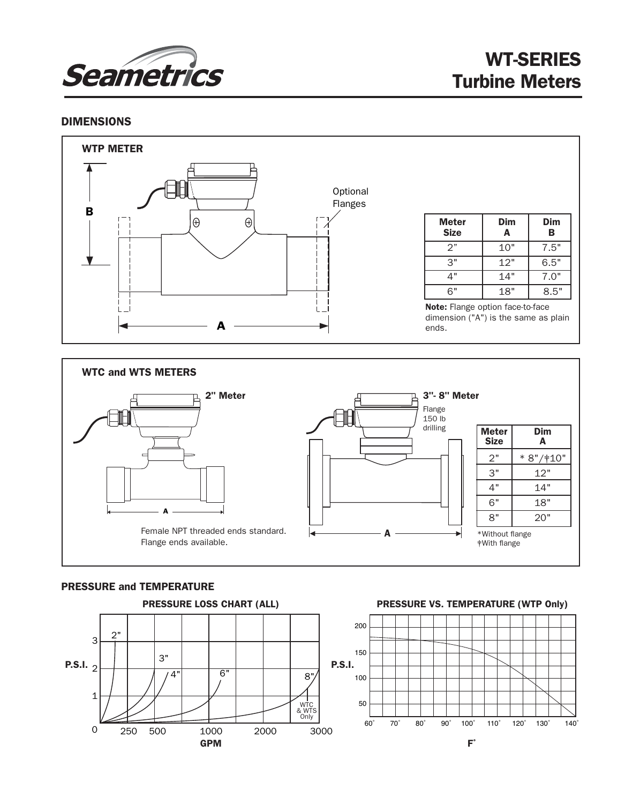

### DIMENSIONS





#### PRESSURE and TEMPERATURE



#### PRESSURE VS. TEMPERATURE (WTP Only)